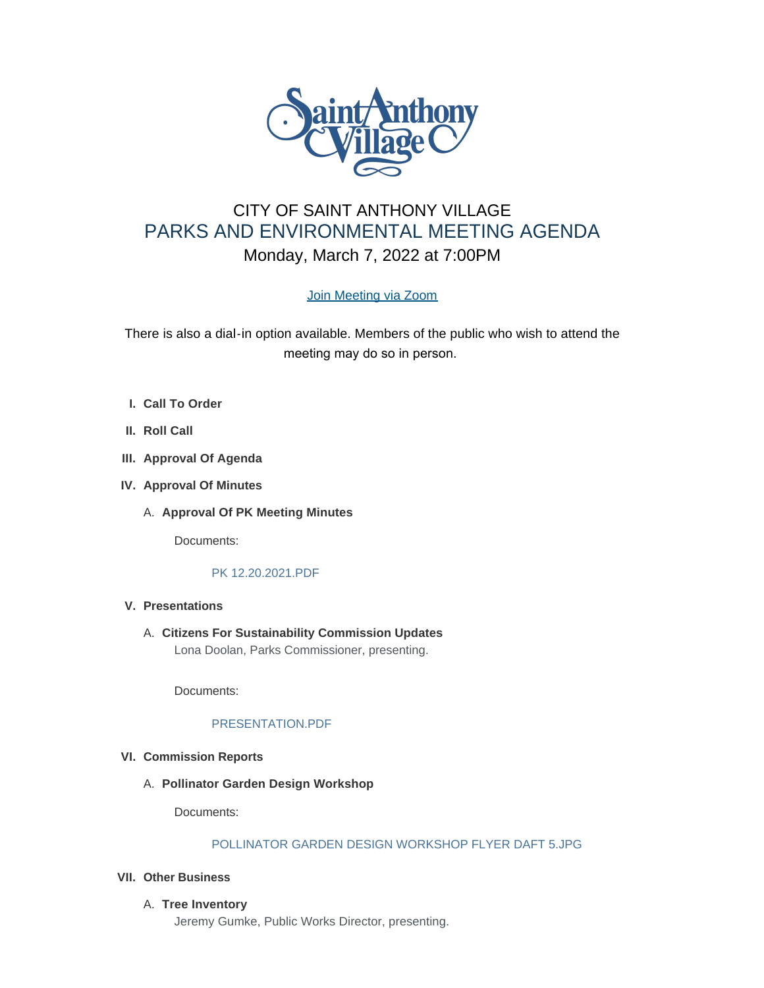

# CITY OF SAINT ANTHONY VILLAGE PARKS AND ENVIRONMENTAL MEETING AGENDA Monday, March 7, 2022 at 7:00PM

# [Join Meeting via Zoom](https://www.savmn.com/Calendar.aspx?EID=1612&month=3&year=2022&day=14&calType=0)

There is also a dial-in option available. Members of the public who wish to attend the meeting may do so in person.

- **Call To Order I.**
- **II.** Roll Call
- **Approval Of Agenda III.**
- **Approval Of Minutes IV.**
	- A. Approval Of PK Meeting Minutes

Documents:

# [PK 12.20.2021.PDF](http://savmn.com/AgendaCenter/ViewFile/Item/711?fileID=6600)

## **Presentations V.**

**Citizens For Sustainability Commission Updates** A. Lona Doolan, Parks Commissioner, presenting.

Documents:

## [PRESENTATION.PDF](http://savmn.com/AgendaCenter/ViewFile/Item/799?fileID=6722)

- **Commission Reports VI.**
	- **Pollinator Garden Design Workshop**  A.

Documents:

# [POLLINATOR GARDEN DESIGN WORKSHOP FLYER DAFT 5.JPG](http://savmn.com/AgendaCenter/ViewFile/Item/736?fileID=6757)

## **Other Business VII.**

**Tree Inventory** A.

Jeremy Gumke, Public Works Director, presenting.